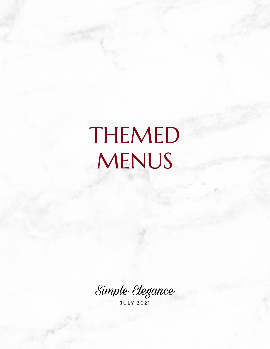# THEMED MENUS

Simple Elegance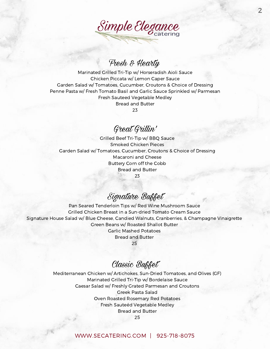

## Fresh & Hearty

Marinated Grilled Tri-Tip w/ Horseradish Aioli Sauce Chicken Piccata w/ Lemon Caper Sauce Garden Salad w/ Tomatoes, Cucumber, Croutons & Choice of Dressing Penne Pasta w/ Fresh Tomato Basil and Garlic Sauce Sprinkled w/ Parmesan Fresh Sauteed Vegetable Medley Bread and Butter 23

Great Grillin'

Grilled Beef Tri-Tip w/ BBQ Sauce Smoked Chicken Pieces Garden Salad w/ Tomatoes, Cucumber, Croutons & Choice of Dressing Macaroni and Cheese Buttery Corn off the Cobb Bread and Butter 23

Signature Buffet

Pan Seared Tenderloin Tips w/ Red Wine Mushroom Sauce Grilled Chicken Breast in a Sun-dried Tomato Cream Sauce Signature House Salad w/ Blue Cheese, Candied Walnuts, Cranberries, & Champagne Vinaigrette Green Beans w/ Roasted Shallot Butter Garlic Mashed Potatoes Bread and Butter

25

## Classic Buffet

Mediterranean Chicken w/ Artichokes, Sun-Dried Tomatoes, and Olives (GF) Marinated Grilled Tri-Tip w/ Bordelaise Sauce Caesar Salad w/ Freshly Grated Parmesan and Croutons Greek Pasta Salad Oven Roasted Rosemary Red Potatoes Fresh Sauteéd Vegetable Medley Bread and Butter 25

#### [WWW.SECATERING.COM](http://www.secatering.com/) | 925-718-8075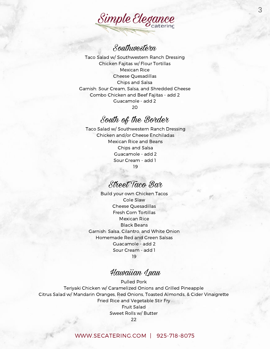

# Southwestern

Taco Salad w/ Southwestern Ranch Dressing Chicken Fajitas w/ Flour Tortillas Mexican Rice Cheese Quesadillas Chips and Salsa Garnish: Sour Cream, Salsa, and Shredded Cheese Combo Chicken and Beef Fajitas - add 2 Guacamole - add 2 20

## South of the Border

Taco Salad w/ Southwestern Ranch Dressing Chicken and/or Cheese Enchiladas Mexican Rice and Beans Chips and Salsa Guacamole - add 2 Sour Cream - add 1 19

# Street Taco Bar

Build your own Chicken Tacos Cole Slaw Cheese Quesadillas Fresh Corn Tortillas Mexican Rice Black Beans Garnish: Salsa, Cilantro, and White Onion Homemade Red and Green Salsas Guacamole - add 2 Sour Cream - add 1 19

## Hawaiian Luau

Pulled Pork Teriyaki Chicken w/ Caramelized Onions and Grilled Pineapple Citrus Salad w/ Mandarin Oranges, Red Onions, Toasted Almonds, & Cider Vinaigrette Fried Rice and Vegetable Stir Fry Fruit Salad Sweet Rolls w/ Butter 22

#### [WWW.SECATERING.COM](http://www.secatering.com/) | 925-718-8075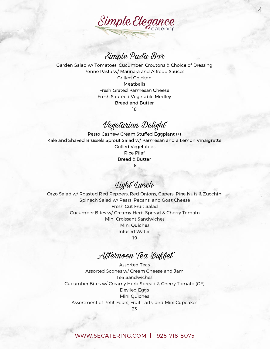

4

## Simple Pasta Bar

Garden Salad w/ Tomatoes, Cucumber, Croutons & Choice of Dressing Penne Pasta w/ Marinara and Alfredo Sauces Grilled Chicken **Meatballs** Fresh Grated Parmesan Cheese Fresh Sautéed Vegetable Medley Bread and Butter 18

## Vegetarian Delight

Pesto Cashew Cream Stuffed Eggplant (+) Kale and Shaved Brussels Sprout Salad w/ Parmesan and a Lemon Vinaigrette Grilled Vegetables Rice Pilaf Bread & Butter 18

Light Lunch

Orzo Salad w/ Roasted Red Peppers, Red Onions, Capers, Pine Nuts & Zucchini Spinach Salad w/ Pears, Pecans, and Goat Cheese Fresh Cut Fruit Salad Cucumber Bites w/ Creamy Herb Spread & Cherry Tomato Mini Croissant Sandwiches Mini Quiches Infused Water 19

Afternoon Tea Buffet

Assorted Teas Assorted Scones w/ Cream Cheese and Jam Tea Sandwiches Cucumber Bites w/ Creamy Herb Spread & Cherry Tomato (GF) Deviled Eggs Mini Quiches Assortment of Petit Fours, Fruit Tarts, and Mini Cupcakes

#### [WWW.SECATERING.COM](http://www.secatering.com/) | 925-718-8075